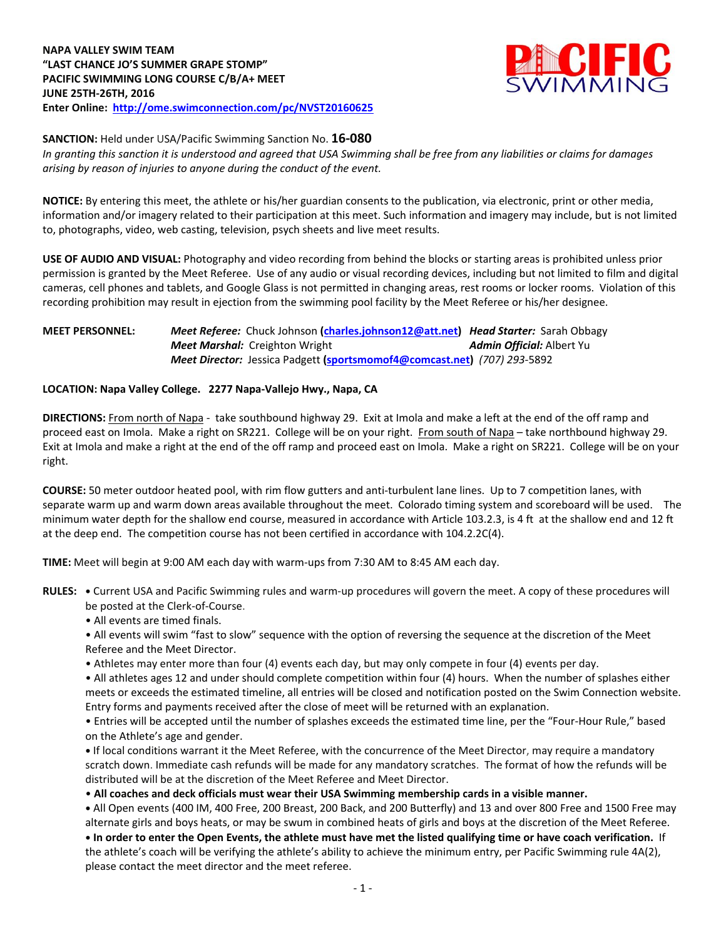

**SANCTION:** Held under USA/Pacific Swimming Sanction No. **16-080**

*In granting this sanction it is understood and agreed that USA Swimming shall be free from any liabilities or claims for damages arising by reason of injuries to anyone during the conduct of the event.*

**NOTICE:** By entering this meet, the athlete or his/her guardian consents to the publication, via electronic, print or other media, information and/or imagery related to their participation at this meet. Such information and imagery may include, but is not limited to, photographs, video, web casting, television, psych sheets and live meet results.

**USE OF AUDIO AND VISUAL:** Photography and video recording from behind the blocks or starting areas is prohibited unless prior permission is granted by the Meet Referee. Use of any audio or visual recording devices, including but not limited to film and digital cameras, cell phones and tablets, and Google Glass is not permitted in changing areas, rest rooms or locker rooms. Violation of this recording prohibition may result in ejection from the swimming pool facility by the Meet Referee or his/her designee.

# **MEET PERSONNEL:** *Meet Referee:* Chuck Johnson **[\(charles.johnson12@att.net\)](mailto:charles.johnson12@att.net)** *Head Starter:* Sarah Obbagy **Meet Marshal:** Creighton Wright **Admin Official:** Albert Yu *Meet Director:* Jessica Padgett **[\(sportsmomof4@comcast.net\)](mailto:sportsmomof4@comcast.net)** *(707) 293-*5892

# **LOCATION: Napa Valley College. 2277 Napa-Vallejo Hwy., Napa, CA**

**DIRECTIONS:** From north of Napa - take southbound highway 29. Exit at Imola and make a left at the end of the off ramp and proceed east on Imola. Make a right on SR221. College will be on your right. From south of Napa - take northbound highway 29. Exit at Imola and make a right at the end of the off ramp and proceed east on Imola. Make a right on SR221. College will be on your right.

**COURSE:** 50 meter outdoor heated pool, with rim flow gutters and anti-turbulent lane lines. Up to 7 competition lanes, with separate warm up and warm down areas available throughout the meet. Colorado timing system and scoreboard will be used. The minimum water depth for the shallow end course, measured in accordance with Article 103.2.3, is 4 ft at the shallow end and 12 ft at the deep end. The competition course has not been certified in accordance with 104.2.2C(4).

**TIME:** Meet will begin at 9:00 AM each day with warm-ups from 7:30 AM to 8:45 AM each day.

**RULES: •** Current USA and Pacific Swimming rules and warm-up procedures will govern the meet. A copy of these procedures will be posted at the Clerk-of-Course.

• All events are timed finals.

• All events will swim "fast to slow" sequence with the option of reversing the sequence at the discretion of the Meet Referee and the Meet Director.

• Athletes may enter more than four (4) events each day, but may only compete in four (4) events per day.

• All athletes ages 12 and under should complete competition within four (4) hours. When the number of splashes either meets or exceeds the estimated timeline, all entries will be closed and notification posted on the Swim Connection website. Entry forms and payments received after the close of meet will be returned with an explanation.

• Entries will be accepted until the number of splashes exceeds the estimated time line, per the "Four-Hour Rule," based on the Athlete's age and gender.

**•** If local conditions warrant it the Meet Referee, with the concurrence of the Meet Director, may require a mandatory scratch down. Immediate cash refunds will be made for any mandatory scratches. The format of how the refunds will be distributed will be at the discretion of the Meet Referee and Meet Director.

• **All coaches and deck officials must wear their USA Swimming membership cards in a visible manner.** 

**•** All Open events (400 IM, 400 Free, 200 Breast, 200 Back, and 200 Butterfly) and 13 and over 800 Free and 1500 Free may alternate girls and boys heats, or may be swum in combined heats of girls and boys at the discretion of the Meet Referee. **• In order to enter the Open Events, the athlete must have met the listed qualifying time or have coach verification.** If the athlete's coach will be verifying the athlete's ability to achieve the minimum entry, per Pacific Swimming rule 4A(2), please contact the meet director and the meet referee.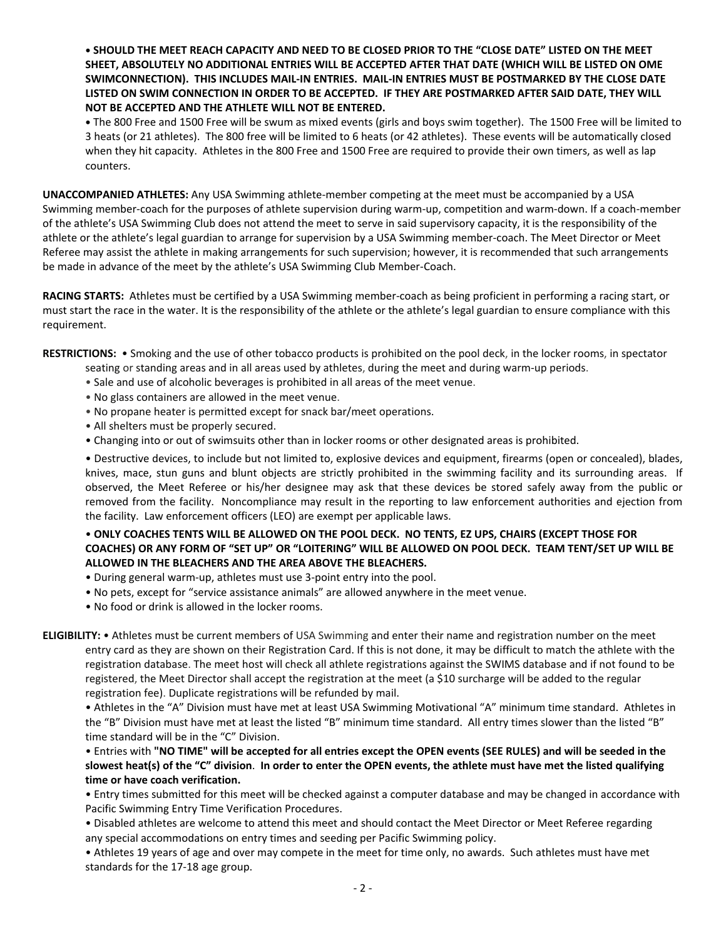**• SHOULD THE MEET REACH CAPACITY AND NEED TO BE CLOSED PRIOR TO THE "CLOSE DATE" LISTED ON THE MEET SHEET, ABSOLUTELY NO ADDITIONAL ENTRIES WILL BE ACCEPTED AFTER THAT DATE (WHICH WILL BE LISTED ON OME SWIMCONNECTION). THIS INCLUDES MAIL-IN ENTRIES. MAIL-IN ENTRIES MUST BE POSTMARKED BY THE CLOSE DATE LISTED ON SWIM CONNECTION IN ORDER TO BE ACCEPTED. IF THEY ARE POSTMARKED AFTER SAID DATE, THEY WILL NOT BE ACCEPTED AND THE ATHLETE WILL NOT BE ENTERED.**

**•** The 800 Free and 1500 Free will be swum as mixed events (girls and boys swim together). The 1500 Free will be limited to 3 heats (or 21 athletes). The 800 free will be limited to 6 heats (or 42 athletes). These events will be automatically closed when they hit capacity. Athletes in the 800 Free and 1500 Free are required to provide their own timers, as well as lap counters.

**UNACCOMPANIED ATHLETES:** Any USA Swimming athlete-member competing at the meet must be accompanied by a USA Swimming member-coach for the purposes of athlete supervision during warm-up, competition and warm-down. If a coach-member of the athlete's USA Swimming Club does not attend the meet to serve in said supervisory capacity, it is the responsibility of the athlete or the athlete's legal guardian to arrange for supervision by a USA Swimming member-coach. The Meet Director or Meet Referee may assist the athlete in making arrangements for such supervision; however, it is recommended that such arrangements be made in advance of the meet by the athlete's USA Swimming Club Member-Coach.

**RACING STARTS:** Athletes must be certified by a USA Swimming member-coach as being proficient in performing a racing start, or must start the race in the water. It is the responsibility of the athlete or the athlete's legal guardian to ensure compliance with this requirement.

**RESTRICTIONS:** • Smoking and the use of other tobacco products is prohibited on the pool deck, in the locker rooms, in spectator

- seating or standing areas and in all areas used by athletes, during the meet and during warm-up periods.
- Sale and use of alcoholic beverages is prohibited in all areas of the meet venue.
- No glass containers are allowed in the meet venue.
- No propane heater is permitted except for snack bar/meet operations.
- All shelters must be properly secured.
- Changing into or out of swimsuits other than in locker rooms or other designated areas is prohibited.

• Destructive devices, to include but not limited to, explosive devices and equipment, firearms (open or concealed), blades, knives, mace, stun guns and blunt objects are strictly prohibited in the swimming facility and its surrounding areas. If observed, the Meet Referee or his/her designee may ask that these devices be stored safely away from the public or removed from the facility. Noncompliance may result in the reporting to law enforcement authorities and ejection from the facility. Law enforcement officers (LEO) are exempt per applicable laws.

# • **ONLY COACHES TENTS WILL BE ALLOWED ON THE POOL DECK. NO TENTS, EZ UPS, CHAIRS (EXCEPT THOSE FOR COACHES) OR ANY FORM OF "SET UP" OR "LOITERING" WILL BE ALLOWED ON POOL DECK. TEAM TENT/SET UP WILL BE ALLOWED IN THE BLEACHERS AND THE AREA ABOVE THE BLEACHERS.**

- During general warm-up, athletes must use 3-point entry into the pool.
- No pets, except for "service assistance animals" are allowed anywhere in the meet venue.
- No food or drink is allowed in the locker rooms.

**ELIGIBILITY:** • Athletes must be current members of USA Swimming and enter their name and registration number on the meet entry card as they are shown on their Registration Card. If this is not done, it may be difficult to match the athlete with the registration database. The meet host will check all athlete registrations against the SWIMS database and if not found to be registered, the Meet Director shall accept the registration at the meet (a \$10 surcharge will be added to the regular registration fee). Duplicate registrations will be refunded by mail.

• Athletes in the "A" Division must have met at least USA Swimming Motivational "A" minimum time standard. Athletes in the "B" Division must have met at least the listed "B" minimum time standard. All entry times slower than the listed "B" time standard will be in the "C" Division.

• Entries with **"NO TIME" will be accepted for all entries except the OPEN events (SEE RULES) and will be seeded in the slowest heat(s) of the "C" division**. **In order to enter the OPEN events, the athlete must have met the listed qualifying time or have coach verification.**

 • Entry times submitted for this meet will be checked against a computer database and may be changed in accordance with Pacific Swimming Entry Time Verification Procedures.

• Disabled athletes are welcome to attend this meet and should contact the Meet Director or Meet Referee regarding any special accommodations on entry times and seeding per Pacific Swimming policy.

• Athletes 19 years of age and over may compete in the meet for time only, no awards. Such athletes must have met standards for the 17-18 age group.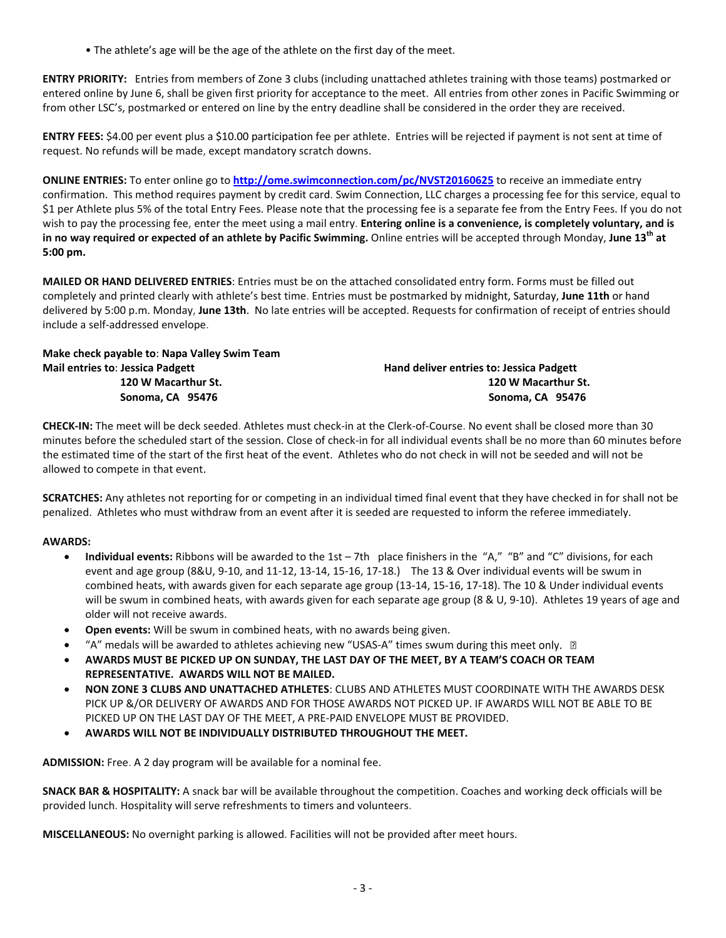• The athlete's age will be the age of the athlete on the first day of the meet.

**ENTRY PRIORITY:** Entries from members of Zone 3 clubs (including unattached athletes training with those teams) postmarked or entered online by June 6, shall be given first priority for acceptance to the meet. All entries from other zones in Pacific Swimming or from other LSC's, postmarked or entered on line by the entry deadline shall be considered in the order they are received.

**ENTRY FEES:** \$4.00 per event plus a \$10.00 participation fee per athlete. Entries will be rejected if payment is not sent at time of request. No refunds will be made, except mandatory scratch downs.

**ONLINE ENTRIES:** To enter online go to **<http://ome.swimconnection.com/pc/NVST20160625>** to receive an immediate entry confirmation. This method requires payment by credit card. Swim Connection, LLC charges a processing fee for this service, equal to \$1 per Athlete plus 5% of the total Entry Fees. Please note that the processing fee is a separate fee from the Entry Fees. If you do not wish to pay the processing fee, enter the meet using a mail entry. **Entering online is a convenience, is completely voluntary, and is in no way required or expected of an athlete by Pacific Swimming.** Online entries will be accepted through Monday, **June 13th at 5:00 pm.** 

**MAILED OR HAND DELIVERED ENTRIES**: Entries must be on the attached consolidated entry form. Forms must be filled out completely and printed clearly with athlete's best time. Entries must be postmarked by midnight, Saturday, **June 11th** or hand delivered by 5:00 p.m. Monday, **June 13th**. No late entries will be accepted. Requests for confirmation of receipt of entries should include a self-addressed envelope.

**Make check payable to**: **Napa Valley Swim Team Mail entries to: Jessica Padgett deliver entries to: Jessica Padgett deliver entries to: Jessica Padgett** 

 **120 W Macarthur St. 120 W Macarthur St. Sonoma, CA 95476 Sonoma, CA 95476**

**CHECK-IN:** The meet will be deck seeded. Athletes must check-in at the Clerk-of-Course. No event shall be closed more than 30 minutes before the scheduled start of the session. Close of check-in for all individual events shall be no more than 60 minutes before the estimated time of the start of the first heat of the event. Athletes who do not check in will not be seeded and will not be allowed to compete in that event.

**SCRATCHES:** Any athletes not reporting for or competing in an individual timed final event that they have checked in for shall not be penalized. Athletes who must withdraw from an event after it is seeded are requested to inform the referee immediately.

# **AWARDS:**

- **Individual events:** Ribbons will be awarded to the 1st 7th place finishers in the "A," "B" and "C" divisions, for each event and age group (8&U, 9-10, and 11-12, 13-14, 15-16, 17-18.) The 13 & Over individual events will be swum in combined heats, with awards given for each separate age group (13-14, 15-16, 17-18). The 10 & Under individual events will be swum in combined heats, with awards given for each separate age group (8 & U, 9-10). Athletes 19 years of age and older will not receive awards.
- **Open events:** Will be swum in combined heats, with no awards being given.
- "A" medals will be awarded to athletes achieving new "USAS-A" times swum during this meet only.  $\Box$
- **AWARDS MUST BE PICKED UP ON SUNDAY, THE LAST DAY OF THE MEET, BY A TEAM'S COACH OR TEAM REPRESENTATIVE. AWARDS WILL NOT BE MAILED.**
- **NON ZONE 3 CLUBS AND UNATTACHED ATHLETES**: CLUBS AND ATHLETES MUST COORDINATE WITH THE AWARDS DESK PICK UP &/OR DELIVERY OF AWARDS AND FOR THOSE AWARDS NOT PICKED UP. IF AWARDS WILL NOT BE ABLE TO BE PICKED UP ON THE LAST DAY OF THE MEET, A PRE-PAID ENVELOPE MUST BE PROVIDED.
- **AWARDS WILL NOT BE INDIVIDUALLY DISTRIBUTED THROUGHOUT THE MEET.**

**ADMISSION:** Free. A 2 day program will be available for a nominal fee.

**SNACK BAR & HOSPITALITY:** A snack bar will be available throughout the competition. Coaches and working deck officials will be provided lunch. Hospitality will serve refreshments to timers and volunteers.

**MISCELLANEOUS:** No overnight parking is allowed. Facilities will not be provided after meet hours.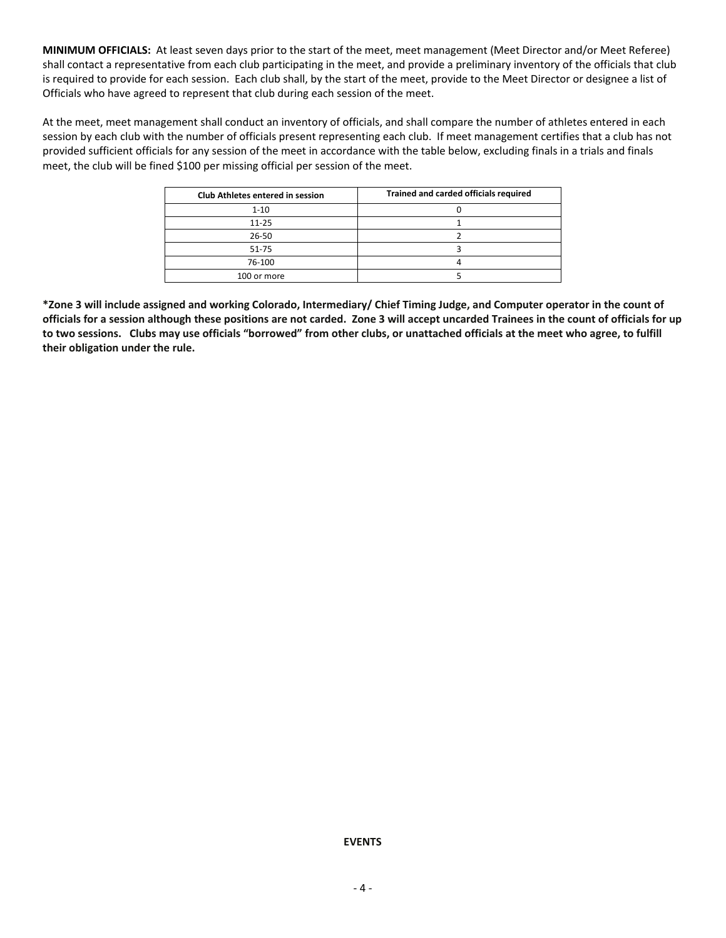**MINIMUM OFFICIALS:** At least seven days prior to the start of the meet, meet management (Meet Director and/or Meet Referee) shall contact a representative from each club participating in the meet, and provide a preliminary inventory of the officials that club is required to provide for each session. Each club shall, by the start of the meet, provide to the Meet Director or designee a list of Officials who have agreed to represent that club during each session of the meet.

At the meet, meet management shall conduct an inventory of officials, and shall compare the number of athletes entered in each session by each club with the number of officials present representing each club. If meet management certifies that a club has not provided sufficient officials for any session of the meet in accordance with the table below, excluding finals in a trials and finals meet, the club will be fined \$100 per missing official per session of the meet.

| <b>Club Athletes entered in session</b> | Trained and carded officials required |  |  |  |  |  |  |
|-----------------------------------------|---------------------------------------|--|--|--|--|--|--|
| $1 - 10$                                |                                       |  |  |  |  |  |  |
| $11 - 25$                               |                                       |  |  |  |  |  |  |
| 26-50                                   |                                       |  |  |  |  |  |  |
| $51 - 75$                               |                                       |  |  |  |  |  |  |
| 76-100                                  |                                       |  |  |  |  |  |  |
| 100 or more                             |                                       |  |  |  |  |  |  |

**\*Zone 3 will include assigned and working Colorado, Intermediary/ Chief Timing Judge, and Computer operator in the count of officials for a session although these positions are not carded. Zone 3 will accept uncarded Trainees in the count of officials for up to two sessions. Clubs may use officials "borrowed" from other clubs, or unattached officials at the meet who agree, to fulfill their obligation under the rule.**

# **EVENTS**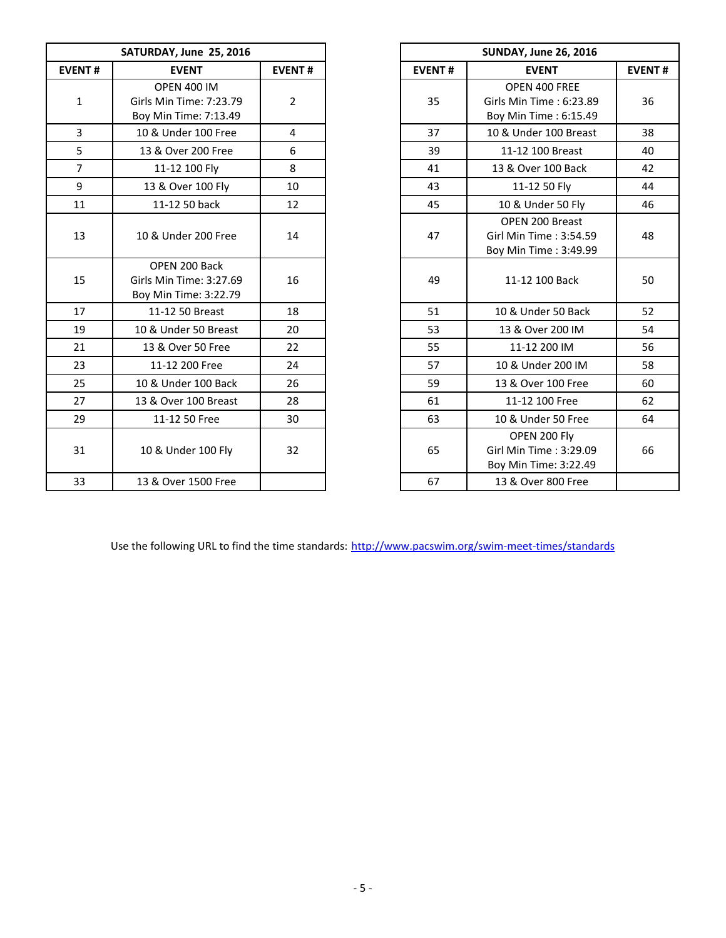|                | SATURDAY, June 25, 2016                                                |                |               | <b>SUNDAY, June 26, 2016</b>                                       |               |
|----------------|------------------------------------------------------------------------|----------------|---------------|--------------------------------------------------------------------|---------------|
| <b>EVENT#</b>  | <b>EVENT</b>                                                           | <b>EVENT#</b>  | <b>EVENT#</b> | <b>EVENT</b>                                                       | <b>EVENT#</b> |
| $\mathbf{1}$   | <b>OPEN 400 IM</b><br>Girls Min Time: 7:23.79<br>Boy Min Time: 7:13.49 | $\overline{2}$ | 35            | OPEN 400 FREE<br>Girls Min Time: 6:23.89<br>Boy Min Time: 6:15.49  | 36            |
| $\overline{3}$ | 10 & Under 100 Free                                                    | $\overline{4}$ | 37            | 10 & Under 100 Breast                                              | 38            |
| 5              | 13 & Over 200 Free                                                     | 6              | 39            | 11-12 100 Breast                                                   | 40            |
| $\overline{7}$ | 11-12 100 Fly                                                          | 8              | 41            | 13 & Over 100 Back                                                 | 42            |
| 9              | 13 & Over 100 Fly                                                      | 10             | 43            | 11-12 50 Fly                                                       | 44            |
| 11             | 11-12 50 back                                                          | 12             | 45            | 10 & Under 50 Fly                                                  |               |
| 13             | 10 & Under 200 Free                                                    | 14             | 47            | OPEN 200 Breast<br>Girl Min Time: 3:54.59<br>Boy Min Time: 3:49.99 |               |
| 15             | OPEN 200 Back<br>Girls Min Time: 3:27.69<br>Boy Min Time: 3:22.79      | 16             | 49            | 11-12 100 Back                                                     |               |
| 17             | 11-12 50 Breast                                                        | 18             | 51            | 10 & Under 50 Back                                                 |               |
| 19             | 10 & Under 50 Breast                                                   | 20             | 53            | 13 & Over 200 IM                                                   |               |
| 21             | 13 & Over 50 Free                                                      | 22             | 55            | 11-12 200 IM                                                       |               |
| 23             | 11-12 200 Free                                                         | 24             | 57            | 10 & Under 200 IM                                                  |               |
| 25             | 10 & Under 100 Back                                                    | 26             | 59            | 13 & Over 100 Free                                                 |               |
| 27             | 13 & Over 100 Breast                                                   | 28             | 61            | 11-12 100 Free                                                     |               |
| 29             | 11-12 50 Free                                                          | 30             | 63            | 10 & Under 50 Free                                                 |               |
| 31             | 10 & Under 100 Fly                                                     | 32             | 65            | OPEN 200 Fly<br>Girl Min Time: 3:29.09<br>Boy Min Time: 3:22.49    |               |
| 33             | 13 & Over 1500 Free                                                    |                | 67            | 13 & Over 800 Free                                                 |               |
|                |                                                                        |                |               |                                                                    |               |

|      | <b>SUNDAY, June 26, 2016</b> |                                                                    |               |  |  |  |  |  |
|------|------------------------------|--------------------------------------------------------------------|---------------|--|--|--|--|--|
| ENT# | <b>EVENT#</b>                | <b>EVENT</b>                                                       | <b>EVENT#</b> |  |  |  |  |  |
| 2    | 35                           | OPEN 400 FREE<br>Girls Min Time: 6:23.89<br>Boy Min Time: 6:15.49  | 36            |  |  |  |  |  |
| 4    | 37                           | 10 & Under 100 Breast                                              | 38            |  |  |  |  |  |
| 6    | 39                           | 11-12 100 Breast                                                   | 40            |  |  |  |  |  |
| 8    | 41                           | 13 & Over 100 Back                                                 | 42            |  |  |  |  |  |
| 10   | 43                           | 11-12 50 Fly                                                       | 44            |  |  |  |  |  |
| 12   | 45                           | 10 & Under 50 Fly                                                  | 46            |  |  |  |  |  |
| 14   | 47                           | OPEN 200 Breast<br>Girl Min Time: 3:54.59<br>Boy Min Time: 3:49.99 | 48            |  |  |  |  |  |
| 16   | 49                           | 11-12 100 Back                                                     | 50            |  |  |  |  |  |
| 18   | 51                           | 10 & Under 50 Back                                                 | 52            |  |  |  |  |  |
| 20   | 53                           | 13 & Over 200 IM                                                   | 54            |  |  |  |  |  |
| 22   | 55                           | 11-12 200 IM                                                       | 56            |  |  |  |  |  |
| 24   | 57                           | 10 & Under 200 IM                                                  | 58            |  |  |  |  |  |
| 26   | 59                           | 13 & Over 100 Free                                                 | 60            |  |  |  |  |  |
| 28   | 61                           | 11-12 100 Free                                                     | 62            |  |  |  |  |  |
| 30   | 63                           | 10 & Under 50 Free                                                 | 64            |  |  |  |  |  |
| 32   | 65                           | OPEN 200 Fly<br>Girl Min Time: 3:29.09<br>Boy Min Time: 3:22.49    | 66            |  |  |  |  |  |
|      | 67                           | 13 & Over 800 Free                                                 |               |  |  |  |  |  |

Use the following URL to find the time standards: <http://www.pacswim.org/swim-meet-times/standards>